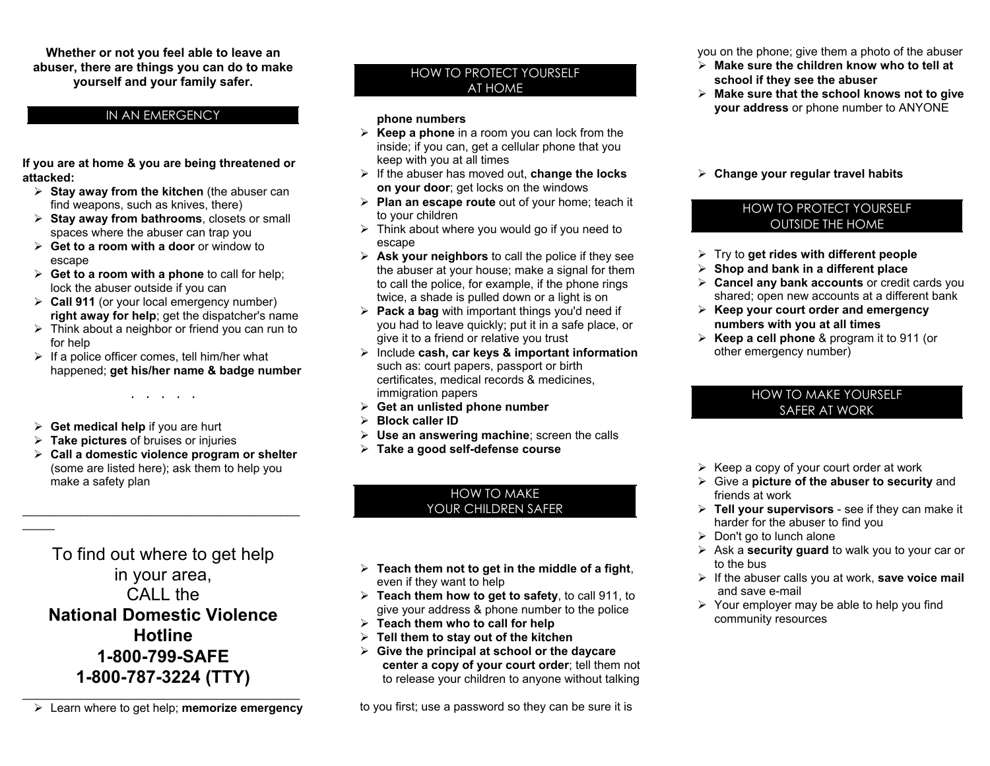**Whether or not you feel able to leave an abuser, there are things you can do to make yourself and your family safer.**

## IN AN EMERGENCY

**If you are at home & you are being threatened or attacked:** 

- ¾ **Stay away from the kitchen** (the abuser can find weapons, such as knives, there)
- ¾**Stay away from bathroom <sup>s</sup>**, closets or small spaces where the abuser can trap you
- ¾ **Get to a room with a door** or window to escape
- ¾ **Get to a room with a phone** to call for help; lock the abuser outside if you can
- ¾ **Call 911** (or your local emergency number) **right away for help**; get the dispatcher's name
- $\triangleright$  Think about a neighbor or friend you can run to for help
- $\triangleright$  If a police officer comes, tell him/her what happened; **get his/her nam e & badge number**

· · · · ·

¾ **Get medical help** if you are hurt

\_\_\_\_\_

- ¾ **Take pictures** of bruises or injuries
- ¾ **Call a domestic violence program or shelter** (some are listed here); ask them to help you make a safety plan

To find out where to get help in your area, CALL the **National Domestic Violence Hotline 1-800-799-SAFE 1-800-787-3224 (TTY)**

 $\longrightarrow$  . The set of the set of the set of the set of the set of the set of the set of the set of the set of the set of the set of the set of the set of the set of the set of the set of the set of the set of the set of the s ¾ Learn where to get help; **memorize emerg ency**

# HOW TO PROTECT Y O U RSELF AT HOME

#### **phone number s**

- ¾ **Keep a phone** in a room you can lock from the inside; if you can, get a cellular phone that you keep with you at all times
- ¾ If the abuser has moved out, **change the locks on your door**; get locks on the windows
- ¾ **Plan an escape route** out of your home; teach it to your children
- $\triangleright$  Think about where you would go if you need to escape
- ¾ **Ask your neighbor <sup>s</sup>** to call the police if they see the abuser at your house; make a signal for them to call the police, for example, if the phone rings twice, a shade is pulled down or a light is on
- ¾ **Pack a bag** with important things you'd need if you had to leave quickly; put it in a safe place, or give it to a friend or relative you trust
- ¾ Include **cash, car keys & important information** such as: court papers, passport or birth certificates, medical records & medicines, immigration papers
- ¾ **Get an unlisted phone number**
- ¾ **Block caller ID**
- ¾ **Use an answering machine**; screen the calls
- ¾ **Take a good self-defense course**

### HOW TO MAKE YOU R CHILDREN SAFER

- ¾ **Teach them not to get in the middle of a fight**, even if they want to help
- ¾ **Teach them how to get to safety**, to call 911, to give your address & phone number to the police
- ¾ **Teach them who to call for help**
- ¾ **Tell them to stay out of the kitchen**
- ¾ **Giv e the principal at school or the daycare center a copy of your court order**; tell them not to release your children to anyone without talking

to you first; use a password so they can be sure it is

you on the phone; give them a photo of the abuser

- ¾ **Make sure the children know who to tell at school if they see the abuser**
- ¾ **Make sur e that the school knows not to giv eyour address** or phone number to ANYONE
- ¾ **Change your r egular travel habits**

# HOW TO PROTECT YOURSELFOUTSIDE THE HOME

- ¾ Try to **get rides with differ ent people**
- ¾ **Shop and bank in a differ ent place**
- ¾ **Cancel any bank accounts** or credit cards you shared; open new accounts at a different bank
- ¾ **Keep your court order and emergency number s with you at all tim e s**
- ¾ **Keep a cell phone** & program it to 911 (or other emergency number)

# HOW TO MAKE YOURSELF SAFER AT WORK

- $\triangleright$  Keep a copy of your court order at work
- ¾ Give a **picture of the abuser to security** and friends at work
- ¾ **Tell your supervisor <sup>s</sup>** see if they can make it harder for the abuser to find you
- $\triangleright$  Don't go to lunch alone
- ¾ Ask a **security guard** to w alk you to your car or to the bus
- ¾ If the abuser calls you at w ork, **save v oice mail**  and save e-mail
- $\triangleright$  Your employer may be able to help you find community resources